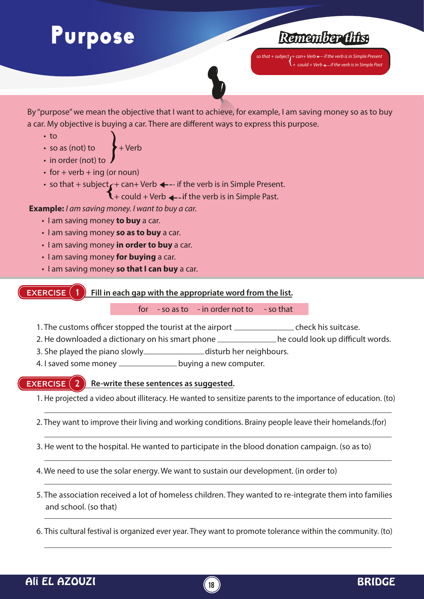# Purpose



 $\overline{\text{so}}$  that + subject <sub>**(**+ can+ Verb <del>+</del>  $\cdot$  if the verb is in Simple Present</sub> *+ could + Verb ← if the verb is in Simple Past* 



By "purpose" we mean the objective that I want to achieve, for example, I am saving money so as to buy a car. My objective is buying a car. There are different ways to express this purpose.

- to
- so as (not) to  $\rightarrow +$  Verb
- in order (not) to
- $\cdot$  for + verb + ing (or noun)
- so that + subject  $\rightarrow$  can+ Verb  $\leftarrow$  if the verb is in Simple Present.

 $\mathbf{l}$  + could + Verb  $\leftarrow$  if the verb is in Simple Past.

### **Example:** *I am saving money. I want to buy a car.*

- I am saving money **to buy** a car.
- I am saving money **so as to buy** a car.
- I am saving money **in order to buy** a car.
- I am saving money **for buying** a car.
- I am saving money **so that I can buy** a car.

#### **EXERCISE Fill in each gap with the appropriate word from the list.**

### for  $-$  so as to  $-$  in order not to  $-$  so that

- 1. The customs officer stopped the tourist at the airport \_\_\_\_\_\_\_\_\_\_\_\_\_\_\_\_\_\_\_\_\_check his suitcase.
- 2. He downloaded a dictionary on his smart phone \_\_\_\_\_\_\_\_\_\_\_\_\_\_\_he could look up difficult words.
- 3. She played the piano slowly\_\_\_\_\_\_\_\_\_\_\_\_\_\_\_\_disturb her neighbours.
- 4. I saved some money \_\_\_\_\_\_\_\_\_\_\_\_\_\_\_ buying a new computer.

#### **EXERCISE 2 Re-write these sentences as suggested.**

- 1. He projected a video about illiteracy. He wanted to sensitize parents to the importance of education. (to)
- 2. They want to improve their living and working conditions. Brainy people leave their homelands.(for)
- 3. He went to the hospital. He wanted to participate in the blood donation campaign. (so as to)
- 4. We need to use the solar energy. We want to sustain our development. (in order to)
- 5. The association received a lot of homeless children. They wanted to re-integrate them into families and school. (so that)
- 6. This cultural festival is organized ever year. They want to promote tolerance within the community. (to)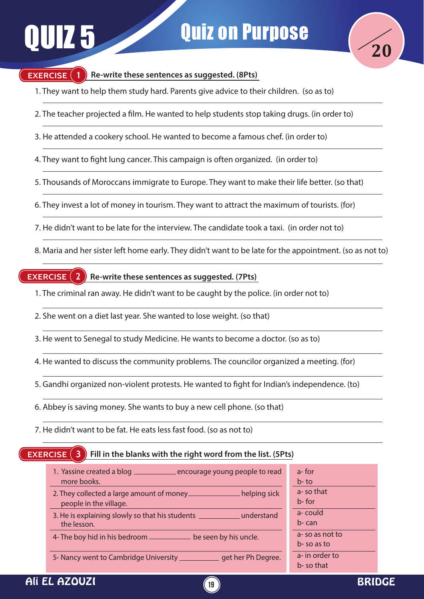

### **EXERCISE (1)**

### **Re-write these sentences as suggested. (8Pts)**

- 1. They want to help them study hard. Parents give advice to their children. (so as to)
- 2. The teacher projected a film. He wanted to help students stop taking drugs. (in order to)
- 3. He attended a cookery school. He wanted to become a famous chef. (in order to)
- 4. They want to fight lung cancer. This campaign is often organized. (in order to)
- 5. Thousands of Moroccans immigrate to Europe. They want to make their life better. (so that)
- 6. They invest a lot of money in tourism. They want to attract the maximum of tourists. (for)
- 7. He didn't want to be late for the interview. The candidate took a taxi. (in order not to)
- 8. Maria and her sister left home early. They didn't want to be late for the appointment. (so as not to)

#### **EXERCISE 2 Re-write these sentences as suggested. (7Pts)**

- 1. The criminal ran away. He didn't want to be caught by the police. (in order not to)
- 2. She went on a diet last year. She wanted to lose weight. (so that)
- 3. He went to Senegal to study Medicine. He wants to become a doctor. (so as to)
- 4. He wanted to discuss the community problems. The councilor organized a meeting. (for)
- 5. Gandhi organized non-violent protests. He wanted to fight for Indian's independence. (to)
- 6. Abbey is saving money. She wants to buy a new cell phone. (so that)
- 7. He didn't want to be fat. He eats less fast food. (so as not to)

#### **EXERCISE (3) Fill in the blanks with the right word from the list. (5Pts)**

| 1. Yassine created a blog ________________ encourage young people to read           | a-for              |
|-------------------------------------------------------------------------------------|--------------------|
| more books.                                                                         | $b$ -to            |
| 2. They collected a large amount of money<br>helping sick<br>people in the village. | a-so that<br>b-for |
| 3. He is explaining slowly so that his students _______________ understand          | a-could            |
| the lesson.                                                                         | $b$ -can           |
| 4- The boy hid in his bedroom ____________                                          | a-so as not to     |
| be seen by his uncle.                                                               | b-so as to         |
| 5- Nancy went to Cambridge University ________                                      | a- in order to     |
| get her Ph Degree.                                                                  | b-so that          |

**19**

## Ali EL AZOUZI DE CONTROLLER EN L'ANGELE DE L'ANGELE DE L'ANGELE DE L'ANGELE DE L'ANGELE DE L'ANGELE DE L'ANGE